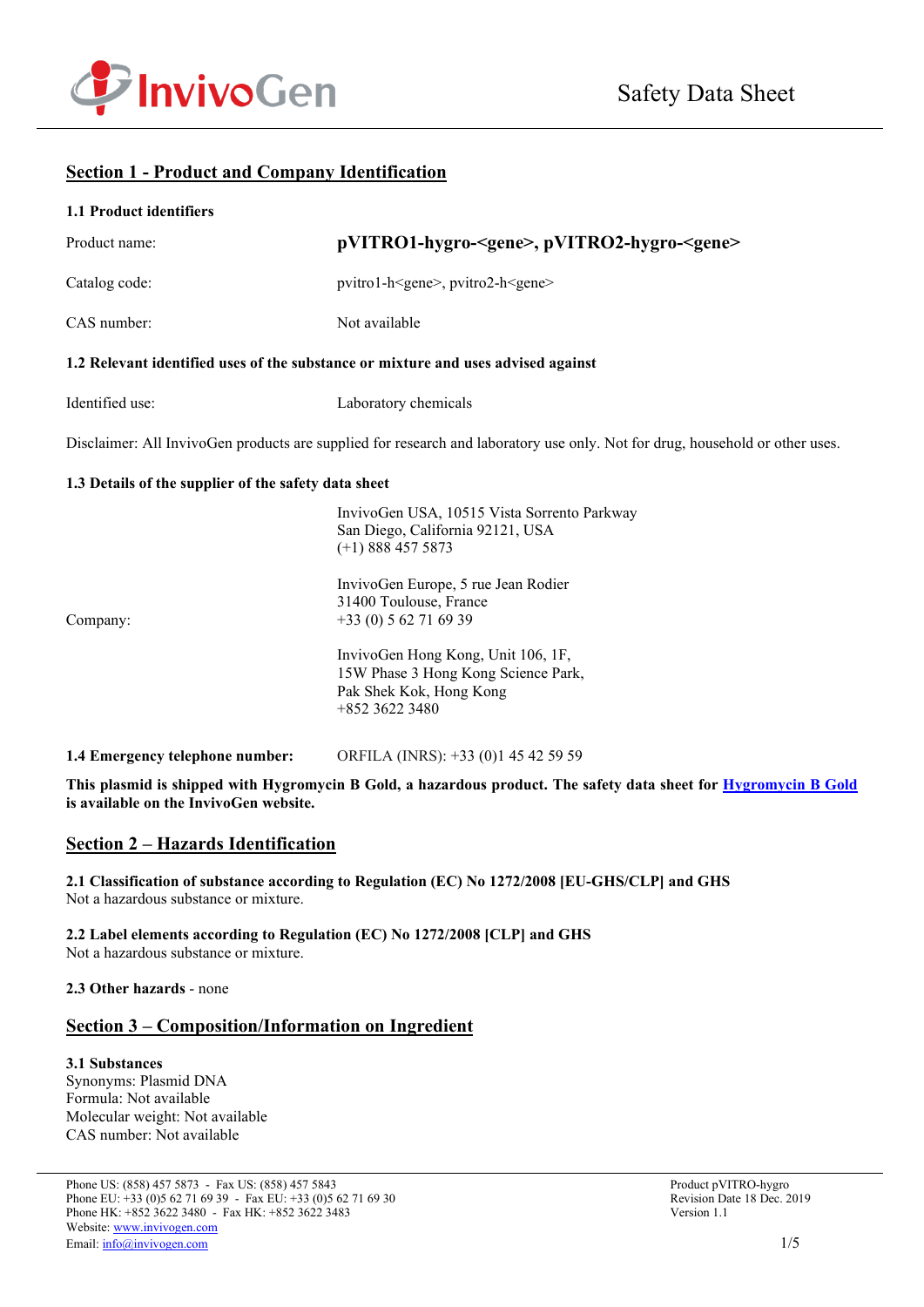

## **Section 1 - Product and Company Identification**

| 1.1 Product identifiers                              |                                                                                                                                               |
|------------------------------------------------------|-----------------------------------------------------------------------------------------------------------------------------------------------|
| Product name:                                        | pVITRO1-hygro- <gene>, pVITRO2-hygro-<gene></gene></gene>                                                                                     |
| Catalog code:                                        | pvitro1-h <gene>, pvitro2-h<gene></gene></gene>                                                                                               |
| CAS number:                                          | Not available                                                                                                                                 |
|                                                      | 1.2 Relevant identified uses of the substance or mixture and uses advised against                                                             |
| Identified use:                                      | Laboratory chemicals                                                                                                                          |
|                                                      | Disclaimer: All InvivoGen products are supplied for research and laboratory use only. Not for drug, household or other uses.                  |
| 1.3 Details of the supplier of the safety data sheet |                                                                                                                                               |
|                                                      | InvivoGen USA, 10515 Vista Sorrento Parkway<br>San Diego, California 92121, USA<br>$(+1)$ 888 457 5873<br>InvivoGen Europe, 5 rue Jean Rodier |
|                                                      | 31400 Toulouse, France                                                                                                                        |
| Company:                                             | $+33(0) 562716939$                                                                                                                            |
|                                                      | InvivoGen Hong Kong, Unit 106, 1F,<br>15W Phase 3 Hong Kong Science Park,<br>Pak Shek Kok, Hong Kong<br>+852 3622 3480                        |

**1.4 Emergency telephone number:** ORFILA (INRS): +33 (0)1 45 42 59 59

**This plasmid is shipped with Hygromycin B Gold, a hazardous product. The safety data sheet for [Hygromycin B Gold](https://www.invivogen.com/sites/default/files/invivogen/products/files/hygromycinbgold_solution_sds.pdf) is available on the InvivoGen website.**

## **Section 2 – Hazards Identification**

**2.1 Classification of substance according to Regulation (EC) No 1272/2008 [EU-GHS/CLP] and GHS** Not a hazardous substance or mixture.

**2.2 Label elements according to Regulation (EC) No 1272/2008 [CLP] and GHS** Not a hazardous substance or mixture.

**2.3 Other hazards** - none

## **Section 3 – Composition/Information on Ingredient**

**3.1 Substances** Synonyms: Plasmid DNA Formula: Not available Molecular weight: Not available CAS number: Not available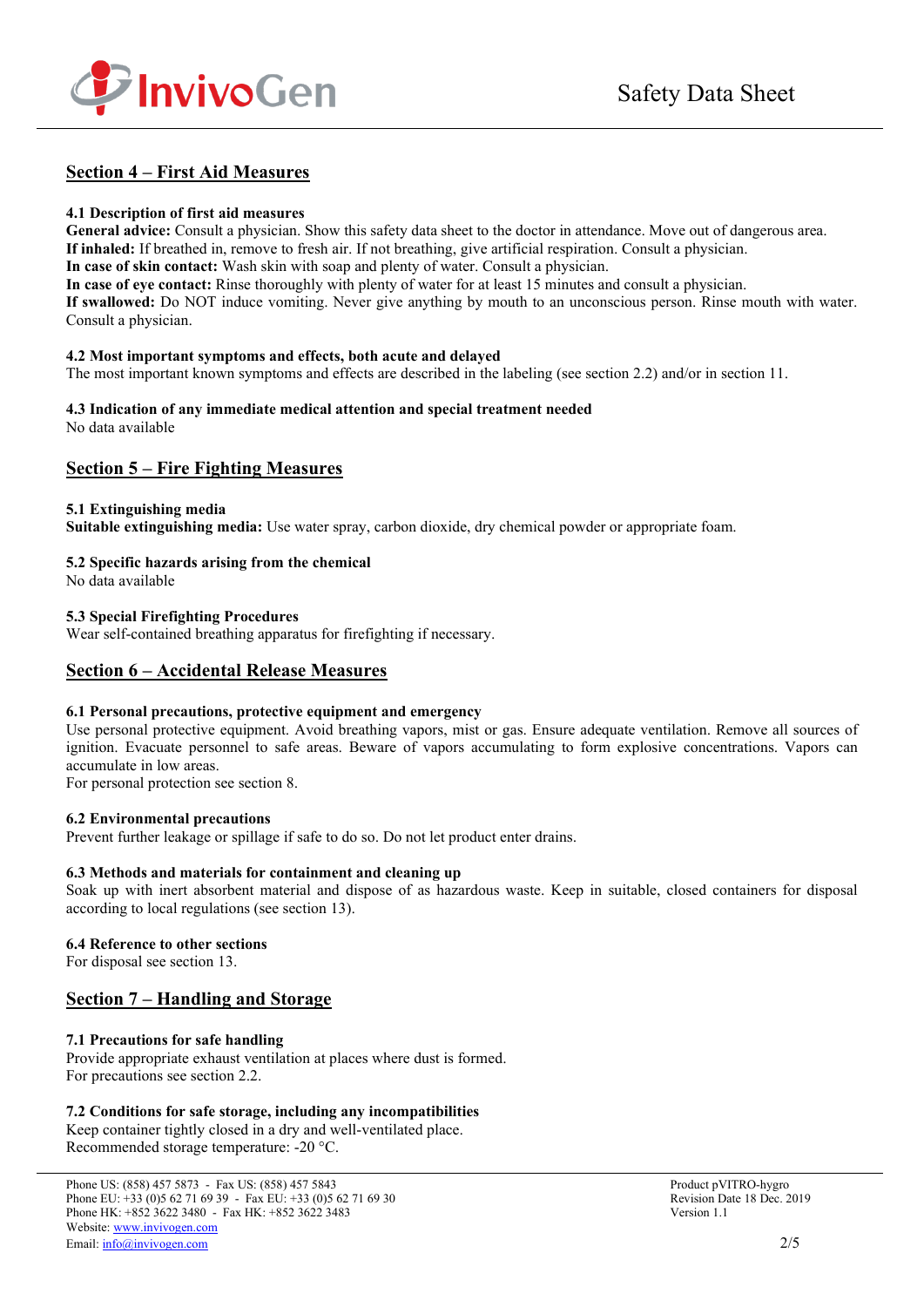

# **Section 4 – First Aid Measures**

### **4.1 Description of first aid measures**

**General advice:** Consult a physician. Show this safety data sheet to the doctor in attendance. Move out of dangerous area. **If inhaled:** If breathed in, remove to fresh air. If not breathing, give artificial respiration. Consult a physician. **In case of skin contact:** Wash skin with soap and plenty of water. Consult a physician. **In case of eye contact:** Rinse thoroughly with plenty of water for at least 15 minutes and consult a physician.

**If swallowed:** Do NOT induce vomiting. Never give anything by mouth to an unconscious person. Rinse mouth with water. Consult a physician.

#### **4.2 Most important symptoms and effects, both acute and delayed**

The most important known symptoms and effects are described in the labeling (see section 2.2) and/or in section 11.

#### **4.3 Indication of any immediate medical attention and special treatment needed** No data available

## **Section 5 – Fire Fighting Measures**

### **5.1 Extinguishing media**

**Suitable extinguishing media:** Use water spray, carbon dioxide, dry chemical powder or appropriate foam.

### **5.2 Specific hazards arising from the chemical**

No data available

### **5.3 Special Firefighting Procedures**

Wear self-contained breathing apparatus for firefighting if necessary.

## **Section 6 – Accidental Release Measures**

### **6.1 Personal precautions, protective equipment and emergency**

Use personal protective equipment. Avoid breathing vapors, mist or gas. Ensure adequate ventilation. Remove all sources of ignition. Evacuate personnel to safe areas. Beware of vapors accumulating to form explosive concentrations. Vapors can accumulate in low areas.

For personal protection see section 8.

### **6.2 Environmental precautions**

Prevent further leakage or spillage if safe to do so. Do not let product enter drains.

### **6.3 Methods and materials for containment and cleaning up**

Soak up with inert absorbent material and dispose of as hazardous waste. Keep in suitable, closed containers for disposal according to local regulations (see section 13).

### **6.4 Reference to other sections**

For disposal see section 13.

## **Section 7 – Handling and Storage**

### **7.1 Precautions for safe handling**

Provide appropriate exhaust ventilation at places where dust is formed. For precautions see section 2.2.

### **7.2 Conditions for safe storage, including any incompatibilities**

Keep container tightly closed in a dry and well-ventilated place. Recommended storage temperature: -20 °C.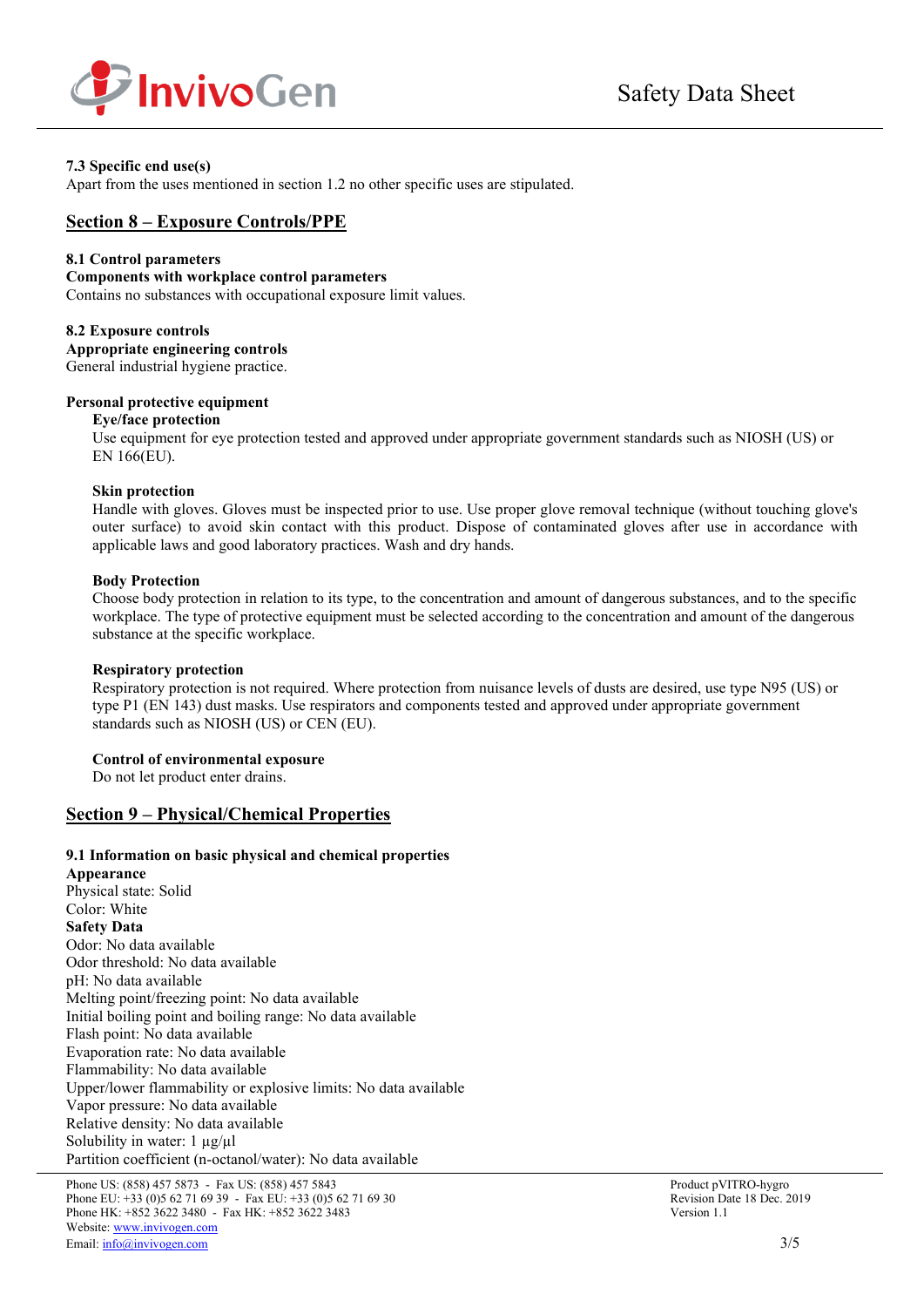

## **7.3 Specific end use(s)**

Apart from the uses mentioned in section 1.2 no other specific uses are stipulated.

## **Section 8 – Exposure Controls/PPE**

### **8.1 Control parameters**

#### **Components with workplace control parameters**

Contains no substances with occupational exposure limit values.

#### **8.2 Exposure controls**

**Appropriate engineering controls** General industrial hygiene practice.

## **Personal protective equipment**

#### **Eye/face protection**

Use equipment for eye protection tested and approved under appropriate government standards such as NIOSH (US) or EN 166(EU).

#### **Skin protection**

Handle with gloves. Gloves must be inspected prior to use. Use proper glove removal technique (without touching glove's outer surface) to avoid skin contact with this product. Dispose of contaminated gloves after use in accordance with applicable laws and good laboratory practices. Wash and dry hands.

### **Body Protection**

Choose body protection in relation to its type, to the concentration and amount of dangerous substances, and to the specific workplace. The type of protective equipment must be selected according to the concentration and amount of the dangerous substance at the specific workplace.

### **Respiratory protection**

Respiratory protection is not required. Where protection from nuisance levels of dusts are desired, use type N95 (US) or type P1 (EN 143) dust masks. Use respirators and components tested and approved under appropriate government standards such as NIOSH (US) or CEN (EU).

### **Control of environmental exposure**

Do not let product enter drains.

## **Section 9 – Physical/Chemical Properties**

### **9.1 Information on basic physical and chemical properties**

**Appearance** Physical state: Solid Color: White **Safety Data** Odor: No data available Odor threshold: No data available pH: No data available Melting point/freezing point: No data available Initial boiling point and boiling range: No data available Flash point: No data available Evaporation rate: No data available Flammability: No data available Upper/lower flammability or explosive limits: No data available Vapor pressure: No data available Relative density: No data available Solubility in water:  $1 \mu g / \mu l$ Partition coefficient (n-octanol/water): No data available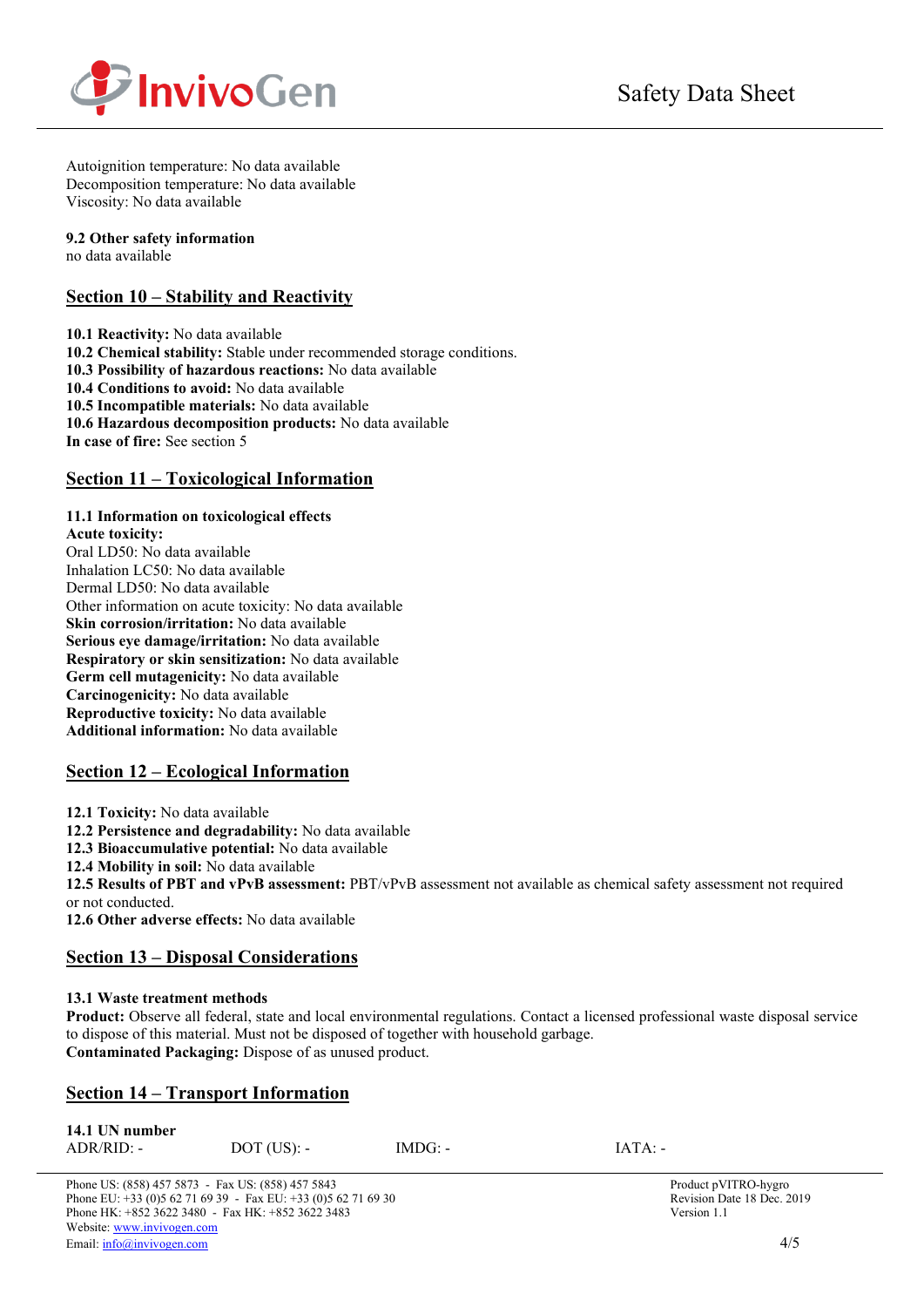

Autoignition temperature: No data available Decomposition temperature: No data available Viscosity: No data available

### **9.2 Other safety information**

no data available

## **Section 10 – Stability and Reactivity**

**10.1 Reactivity:** No data available **10.2 Chemical stability:** Stable under recommended storage conditions. **10.3 Possibility of hazardous reactions:** No data available **10.4 Conditions to avoid:** No data available **10.5 Incompatible materials:** No data available **10.6 Hazardous decomposition products:** No data available **In case of fire:** See section 5

## **Section 11 – Toxicological Information**

## **11.1 Information on toxicological effects**

**Acute toxicity:** Oral LD50: No data available Inhalation LC50: No data available Dermal LD50: No data available Other information on acute toxicity: No data available **Skin corrosion/irritation:** No data available **Serious eye damage/irritation:** No data available **Respiratory or skin sensitization:** No data available **Germ cell mutagenicity:** No data available **Carcinogenicity:** No data available **Reproductive toxicity:** No data available **Additional information:** No data available

# **Section 12 – Ecological Information**

**12.1 Toxicity:** No data available

**12.2 Persistence and degradability:** No data available

**12.3 Bioaccumulative potential:** No data available

**12.4 Mobility in soil:** No data available

**12.5 Results of PBT and vPvB assessment:** PBT/vPvB assessment not available as chemical safety assessment not required or not conducted.

**12.6 Other adverse effects:** No data available

## **Section 13 – Disposal Considerations**

## **13.1 Waste treatment methods**

**Product:** Observe all federal, state and local environmental regulations. Contact a licensed professional waste disposal service to dispose of this material. Must not be disposed of together with household garbage. **Contaminated Packaging:** Dispose of as unused product.

## **Section 14 – Transport Information**

| 14.1 UN number |               |           |           |
|----------------|---------------|-----------|-----------|
| $ADR/RID: -$   | $DOT$ (US): - | $IMDG: -$ | $IATA: -$ |

Phone US: (858) 457 5873 - Fax US: (858) 457 5843<br>
Phone EU: +33 (0)5 62 71 69 39 - Fax EU: +33 (0)5 62 71 69 30<br>
Revision Date 18 Dec. 2019 Phone EU:  $+33(0)562716939$  - Fax EU:  $+33(0)562716930$ Phone HK: +852 3622 3480 - Fax HK: +852 3622 3483 Version 1.1 Website[: www.invivogen.com](http://www.invivogen.com/) Email[: info@invivogen.com](mailto:info@invivogen.com) 4/5